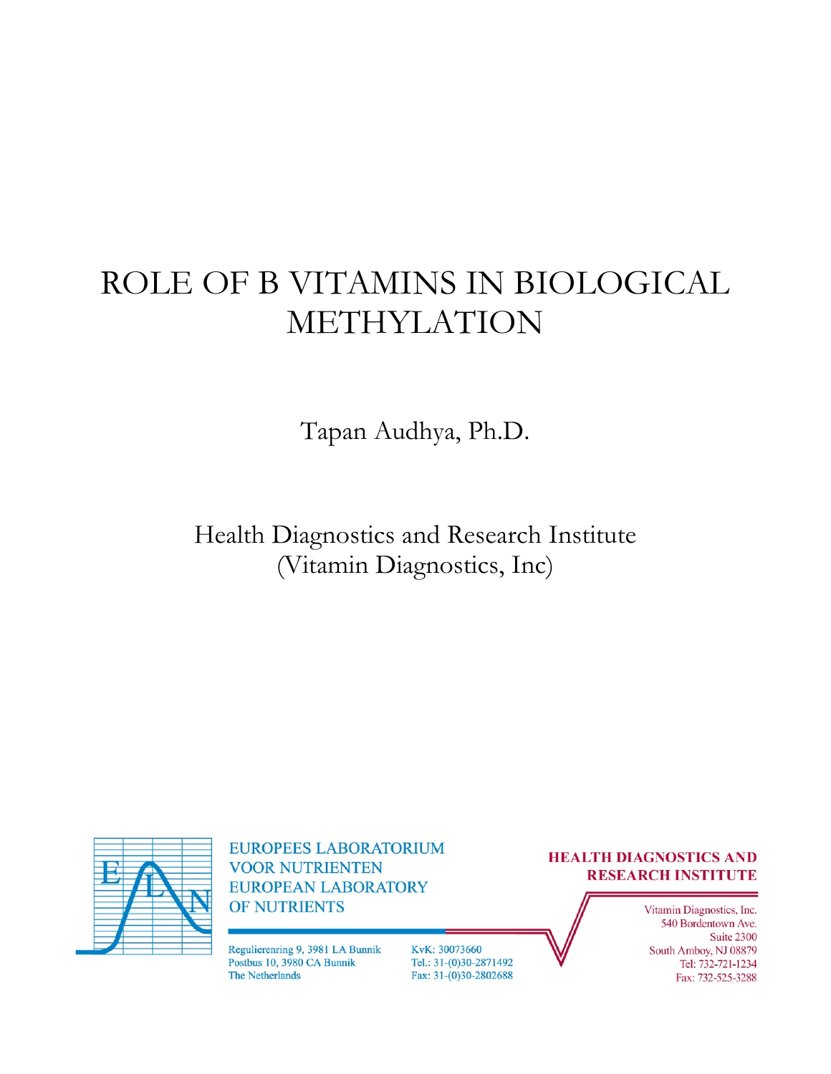# ROLE OF B VITAMINS IN BIOLOGICAL METHYLATION

Tapan Audhya, Ph.D.

Health Diagnostics and Research Institute (Vitamin Diagnostics, Inc)



**EUROPEES LABORATORIUM VOOR NUTRIENTEN EUROPEAN LABORATORY** OF NUTRIENTS

Regulierenring 9, 3981 LA Bunnik Postbus 10, 3980 CA Bunnik The Netherlands

KvK: 30073660 Tel.: 31-(0)30-2871492 Fax: 31-(0)30-2802688

#### **HEALTH DIAGNOSTICS AND RESEARCH INSTITUTE**

Vitamin Diagnostics, Inc. 540 Bordentown Ave. Suite 2300 South Amboy, NJ 08879 Tel: 732-721-1234 Fax: 732-525-3288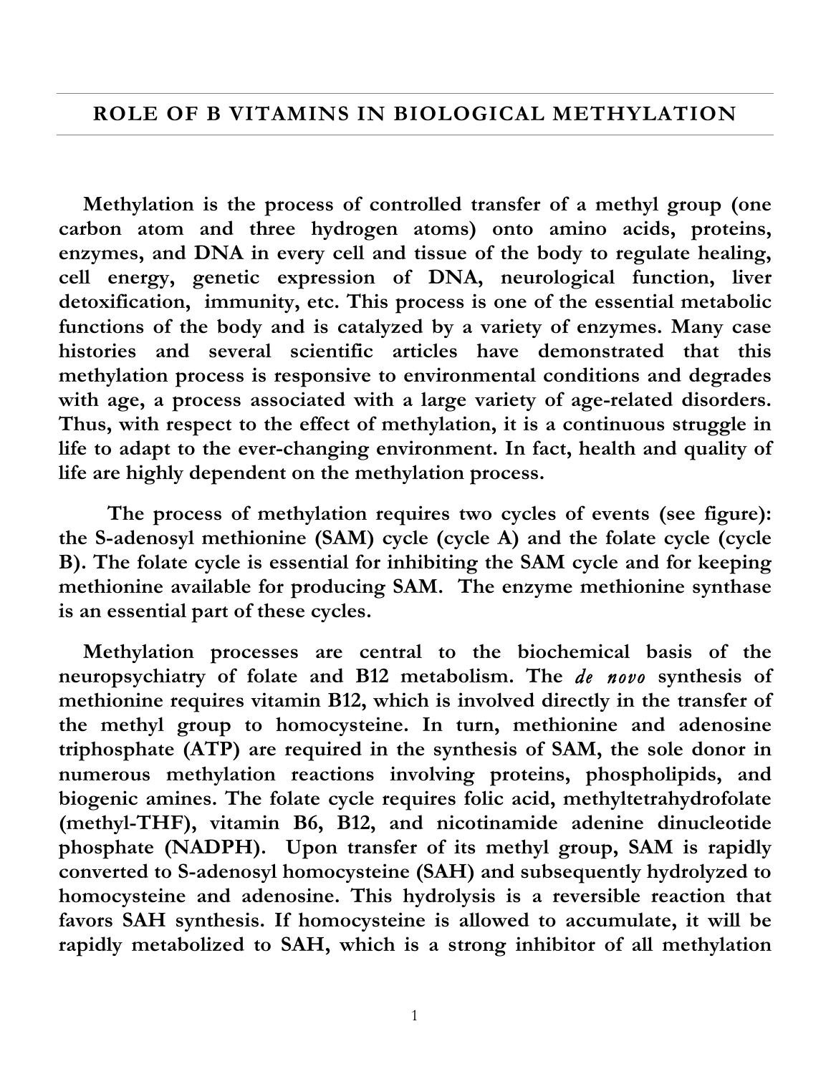#### **ROLE OF B VITAMINS IN BIOLOGICAL METHYLATION**

**Methylation is the process of controlled transfer of a methyl group (one carbon atom and three hydrogen atoms) onto amino acids, proteins, enzymes, and DNA in every cell and tissue of the body to regulate healing, cell energy, genetic expression of DNA, neurological function, liver detoxification, immunity, etc. This process is one of the essential metabolic functions of the body and is catalyzed by a variety of enzymes. Many case histories and several scientific articles have demonstrated that this methylation process is responsive to environmental conditions and degrades with age, a process associated with a large variety of age-related disorders. Thus, with respect to the effect of methylation, it is a continuous struggle in life to adapt to the ever-changing environment. In fact, health and quality of life are highly dependent on the methylation process.**

**The process of methylation requires two cycles of events (see figure): the S-adenosyl methionine (SAM) cycle (cycle A) and the folate cycle (cycle B). The folate cycle is essential for inhibiting the SAM cycle and for keeping methionine available for producing SAM. The enzyme methionine synthase is an essential part of these cycles.**

**Methylation processes are central to the biochemical basis of the neuropsychiatry of folate and B12 metabolism. The** *de novo* **synthesis of methionine requires vitamin B12, which is involved directly in the transfer of the methyl group to homocysteine. In turn, methionine and adenosine triphosphate (ATP) are required in the synthesis of SAM, the sole donor in numerous methylation reactions involving proteins, phospholipids, and biogenic amines. The folate cycle requires folic acid, methyltetrahydrofolate (methyl-THF), vitamin B6, B12, and nicotinamide adenine dinucleotide phosphate (NADPH). Upon transfer of its methyl group, SAM is rapidly converted to S-adenosyl homocysteine (SAH) and subsequently hydrolyzed to homocysteine and adenosine. This hydrolysis is a reversible reaction that favors SAH synthesis. If homocysteine is allowed to accumulate, it will be rapidly metabolized to SAH, which is a strong inhibitor of all methylation**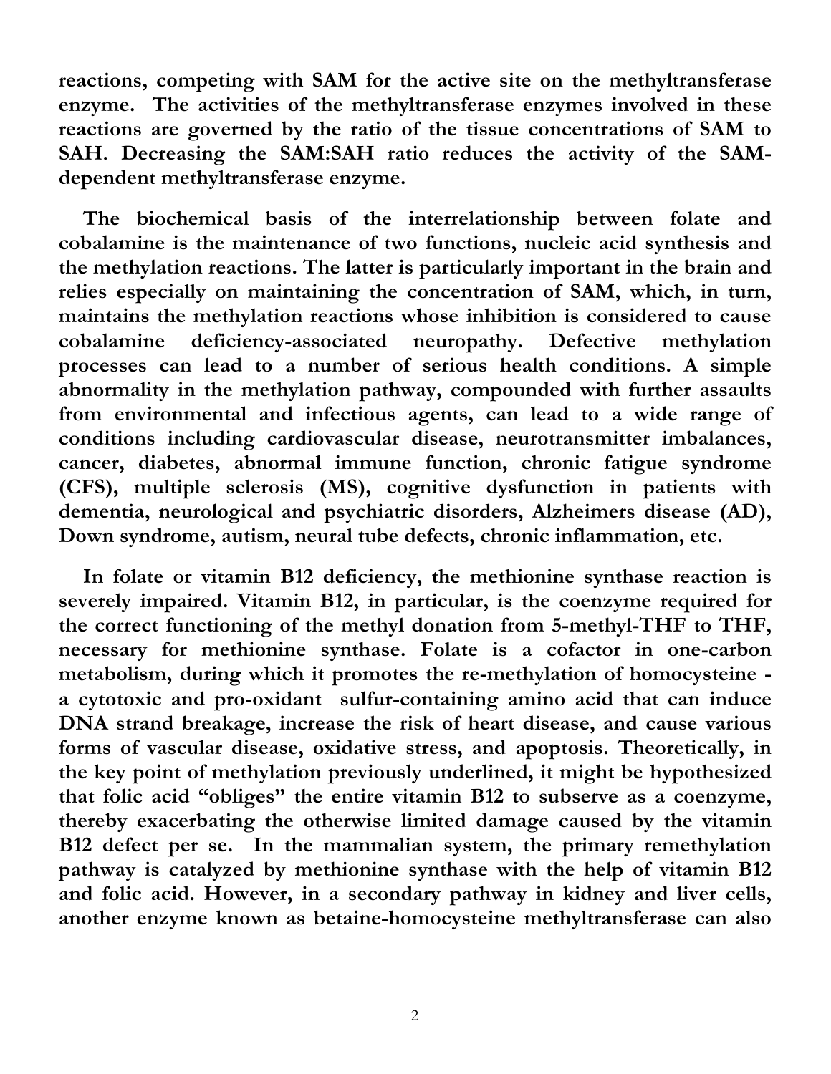**reactions, competing with SAM for the active site on the methyltransferase enzyme. The activities of the methyltransferase enzymes involved in these reactions are governed by the ratio of the tissue concentrations of SAM to SAH. Decreasing the SAM:SAH ratio reduces the activity of the SAMdependent methyltransferase enzyme.**

**The biochemical basis of the interrelationship between folate and cobalamine is the maintenance of two functions, nucleic acid synthesis and the methylation reactions. The latter is particularly important in the brain and relies especially on maintaining the concentration of SAM, which, in turn, maintains the methylation reactions whose inhibition is considered to cause cobalamine deficiency-associated neuropathy. Defective methylation processes can lead to a number of serious health conditions. A simple abnormality in the methylation pathway, compounded with further assaults from environmental and infectious agents, can lead to a wide range of conditions including cardiovascular disease, neurotransmitter imbalances, cancer, diabetes, abnormal immune function, chronic fatigue syndrome (CFS), multiple sclerosis (MS), cognitive dysfunction in patients with dementia, neurological and psychiatric disorders, Alzheimers disease (AD), Down syndrome, autism, neural tube defects, chronic inflammation, etc.**

**In folate or vitamin B12 deficiency, the methionine synthase reaction is severely impaired. Vitamin B12, in particular, is the coenzyme required for the correct functioning of the methyl donation from 5-methyl-THF to THF, necessary for methionine synthase. Folate is a cofactor in one-carbon metabolism, during which it promotes the re-methylation of homocysteine a cytotoxic and pro-oxidant sulfur-containing amino acid that can induce DNA strand breakage, increase the risk of heart disease, and cause various forms of vascular disease, oxidative stress, and apoptosis. Theoretically, in the key point of methylation previously underlined, it might be hypothesized that folic acid "obliges" the entire vitamin B12 to subserve as a coenzyme, thereby exacerbating the otherwise limited damage caused by the vitamin B12 defect per se. In the mammalian system, the primary remethylation pathway is catalyzed by methionine synthase with the help of vitamin B12 and folic acid. However, in a secondary pathway in kidney and liver cells, another enzyme known as betaine-homocysteine methyltransferase can also**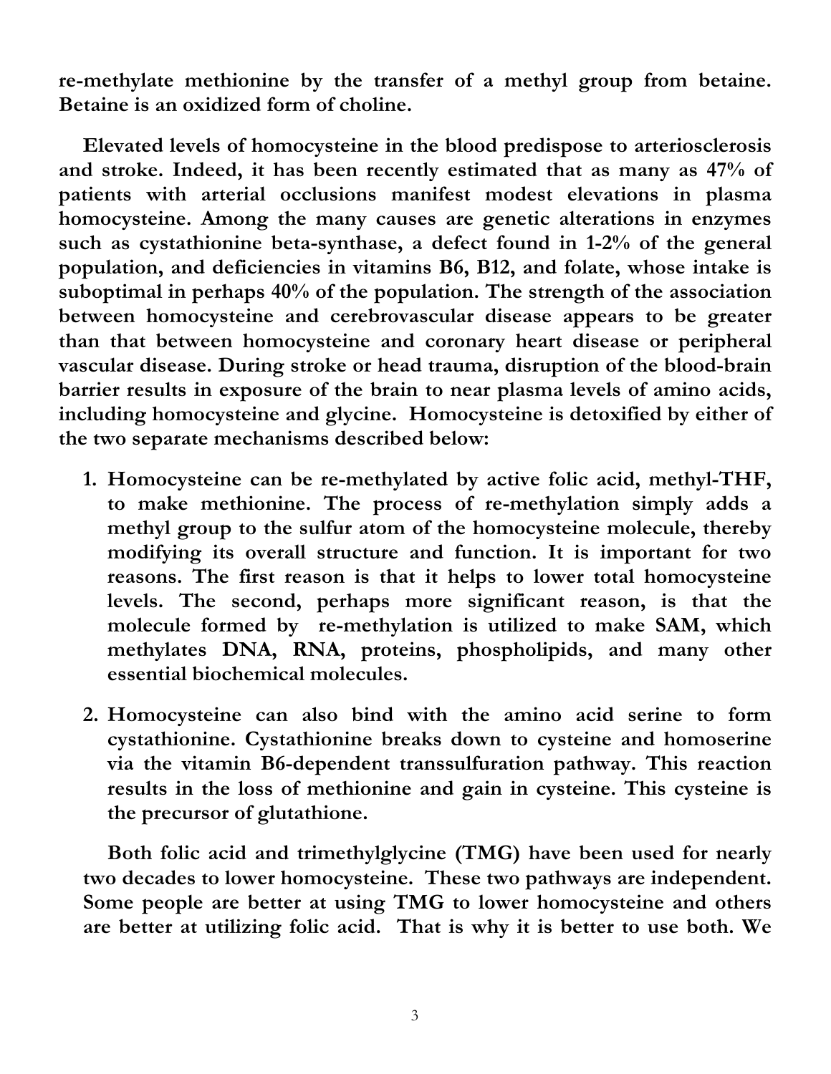**re-methylate methionine by the transfer of a methyl group from betaine. Betaine is an oxidized form of choline.**

**Elevated levels of homocysteine in the blood predispose to arteriosclerosis and stroke. Indeed, it has been recently estimated that as many as 47% of patients with arterial occlusions manifest modest elevations in plasma homocysteine. Among the many causes are genetic alterations in enzymes such as cystathionine beta-synthase, a defect found in 1-2% of the general population, and deficiencies in vitamins B6, B12, and folate, whose intake is suboptimal in perhaps 40% of the population. The strength of the association between homocysteine and cerebrovascular disease appears to be greater than that between homocysteine and coronary heart disease or peripheral vascular disease. During stroke or head trauma, disruption of the blood-brain barrier results in exposure of the brain to near plasma levels of amino acids, including homocysteine and glycine. Homocysteine is detoxified by either of the two separate mechanisms described below:**

- **1. Homocysteine can be re-methylated by active folic acid, methyl-THF, to make methionine. The process of re-methylation simply adds a methyl group to the sulfur atom of the homocysteine molecule, thereby modifying its overall structure and function. It is important for two reasons. The first reason is that it helps to lower total homocysteine levels. The second, perhaps more significant reason, is that the molecule formed by re-methylation is utilized to make SAM, which methylates DNA, RNA, proteins, phospholipids, and many other essential biochemical molecules.**
- **2. Homocysteine can also bind with the amino acid serine to form cystathionine. Cystathionine breaks down to cysteine and homoserine via the vitamin B6-dependent transsulfuration pathway. This reaction results in the loss of methionine and gain in cysteine. This cysteine is the precursor of glutathione.**

**Both folic acid and trimethylglycine (TMG) have been used for nearly two decades to lower homocysteine. These two pathways are independent. Some people are better at using TMG to lower homocysteine and others are better at utilizing folic acid. That is why it is better to use both. We**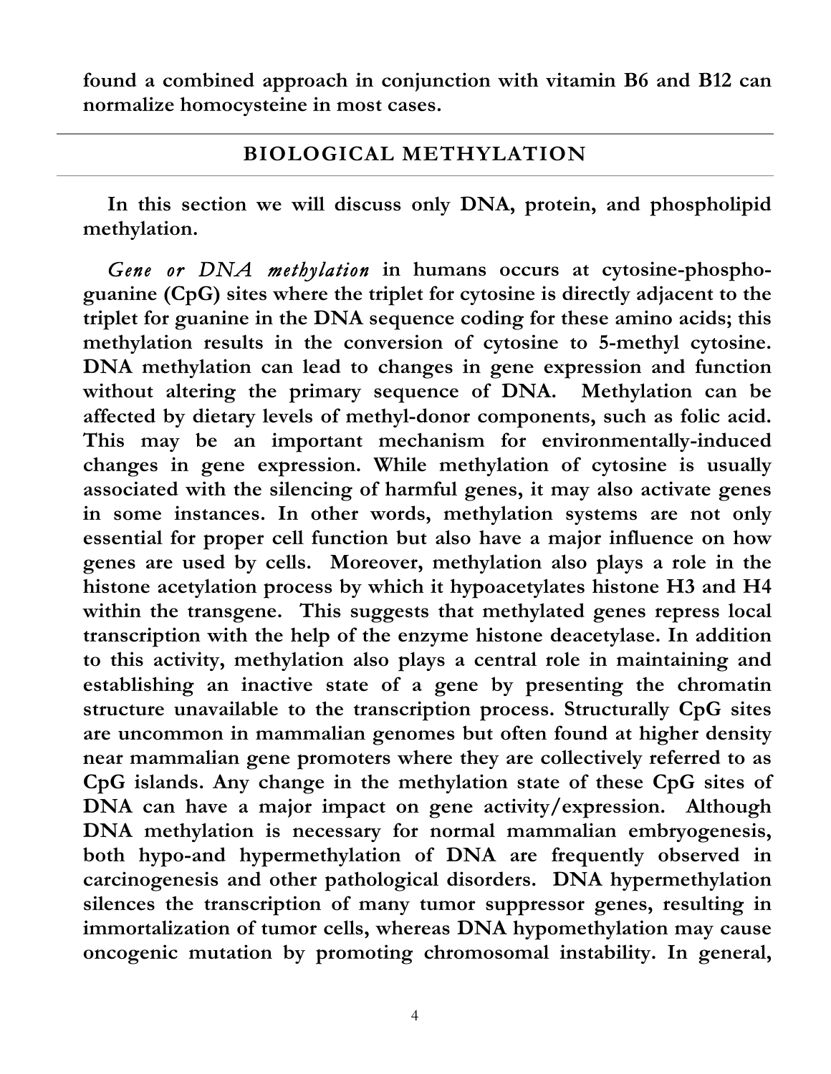**found a combined approach in conjunction with vitamin B6 and B12 can normalize homocysteine in most cases.**

#### **BIOLOGICAL METHYLATION**

**In this section we will discuss only DNA, protein, and phospholipid methylation.**

*Gene or DNA methylation* **in humans occurs at cytosine-phosphoguanine (CpG) sites where the triplet for cytosine is directly adjacent to the triplet for guanine in the DNA sequence coding for these amino acids; this methylation results in the conversion of cytosine to 5-methyl cytosine. DNA methylation can lead to changes in gene expression and function without altering the primary sequence of DNA. Methylation can be affected by dietary levels of methyl-donor components, such as folic acid. This may be an important mechanism for environmentally-induced changes in gene expression. While methylation of cytosine is usually associated with the silencing of harmful genes, it may also activate genes in some instances. In other words, methylation systems are not only essential for proper cell function but also have a major influence on how genes are used by cells. Moreover, methylation also plays a role in the histone acetylation process by which it hypoacetylates histone H3 and H4 within the transgene. This suggests that methylated genes repress local transcription with the help of the enzyme histone deacetylase. In addition to this activity, methylation also plays a central role in maintaining and establishing an inactive state of a gene by presenting the chromatin structure unavailable to the transcription process. Structurally CpG sites are uncommon in mammalian genomes but often found at higher density near mammalian gene promoters where they are collectively referred to as CpG islands. Any change in the methylation state of these CpG sites of DNA can have a major impact on gene activity/expression. Although DNA methylation is necessary for normal mammalian embryogenesis, both hypo-and hypermethylation of DNA are frequently observed in carcinogenesis and other pathological disorders. DNA hypermethylation silences the transcription of many tumor suppressor genes, resulting in immortalization of tumor cells, whereas DNA hypomethylation may cause oncogenic mutation by promoting chromosomal instability. In general,**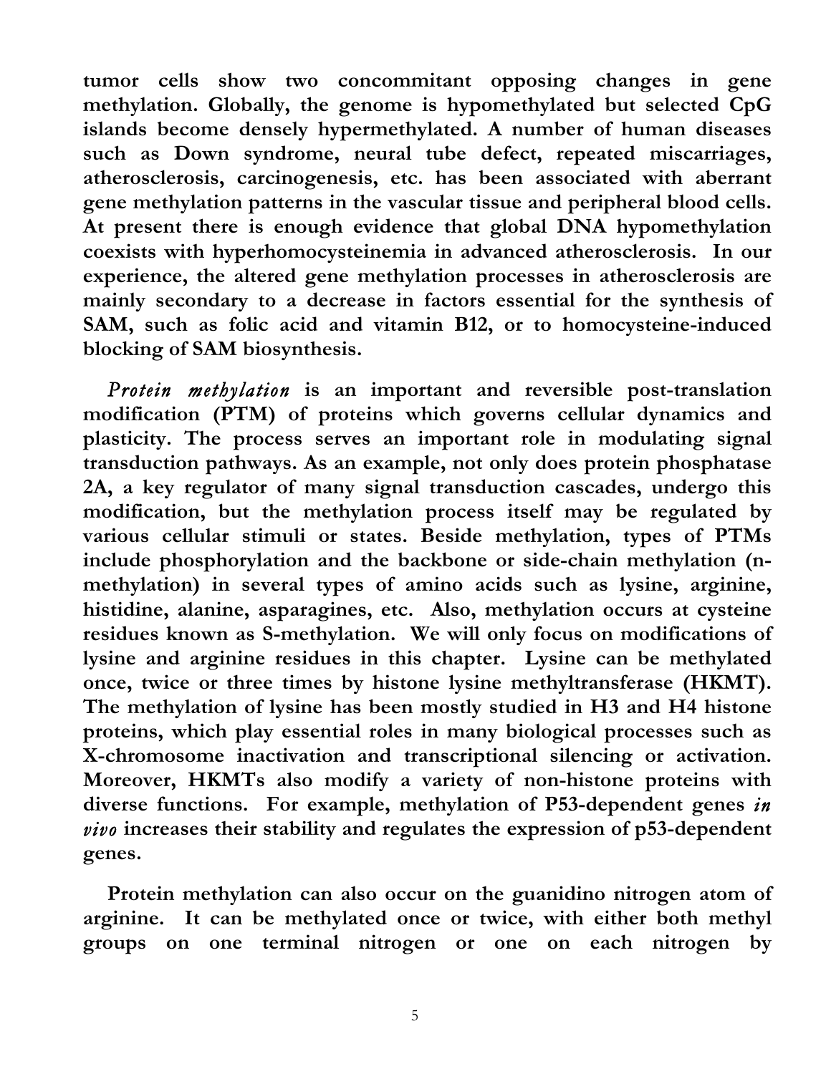**tumor cells show two concommitant opposing changes in gene methylation. Globally, the genome is hypomethylated but selected CpG islands become densely hypermethylated. A number of human diseases such as Down syndrome, neural tube defect, repeated miscarriages, atherosclerosis, carcinogenesis, etc. has been associated with aberrant gene methylation patterns in the vascular tissue and peripheral blood cells. At present there is enough evidence that global DNA hypomethylation coexists with hyperhomocysteinemia in advanced atherosclerosis. In our experience, the altered gene methylation processes in atherosclerosis are mainly secondary to a decrease in factors essential for the synthesis of SAM, such as folic acid and vitamin B12, or to homocysteine-induced blocking of SAM biosynthesis.**

*Protein methylation* **is an important and reversible post-translation modification (PTM) of proteins which governs cellular dynamics and plasticity. The process serves an important role in modulating signal transduction pathways. As an example, not only does protein phosphatase 2A, a key regulator of many signal transduction cascades, undergo this modification, but the methylation process itself may be regulated by various cellular stimuli or states. Beside methylation, types of PTMs include phosphorylation and the backbone or side-chain methylation (nmethylation) in several types of amino acids such as lysine, arginine, histidine, alanine, asparagines, etc. Also, methylation occurs at cysteine residues known as S-methylation. We will only focus on modifications of lysine and arginine residues in this chapter. Lysine can be methylated once, twice or three times by histone lysine methyltransferase (HKMT). The methylation of lysine has been mostly studied in H3 and H4 histone proteins, which play essential roles in many biological processes such as X-chromosome inactivation and transcriptional silencing or activation. Moreover, HKMTs also modify a variety of non-histone proteins with diverse functions. For example, methylation of P53-dependent genes** *in vivo* **increases their stability and regulates the expression of p53-dependent genes.**

**Protein methylation can also occur on the guanidino nitrogen atom of arginine. It can be methylated once or twice, with either both methyl groups on one terminal nitrogen or one on each nitrogen by**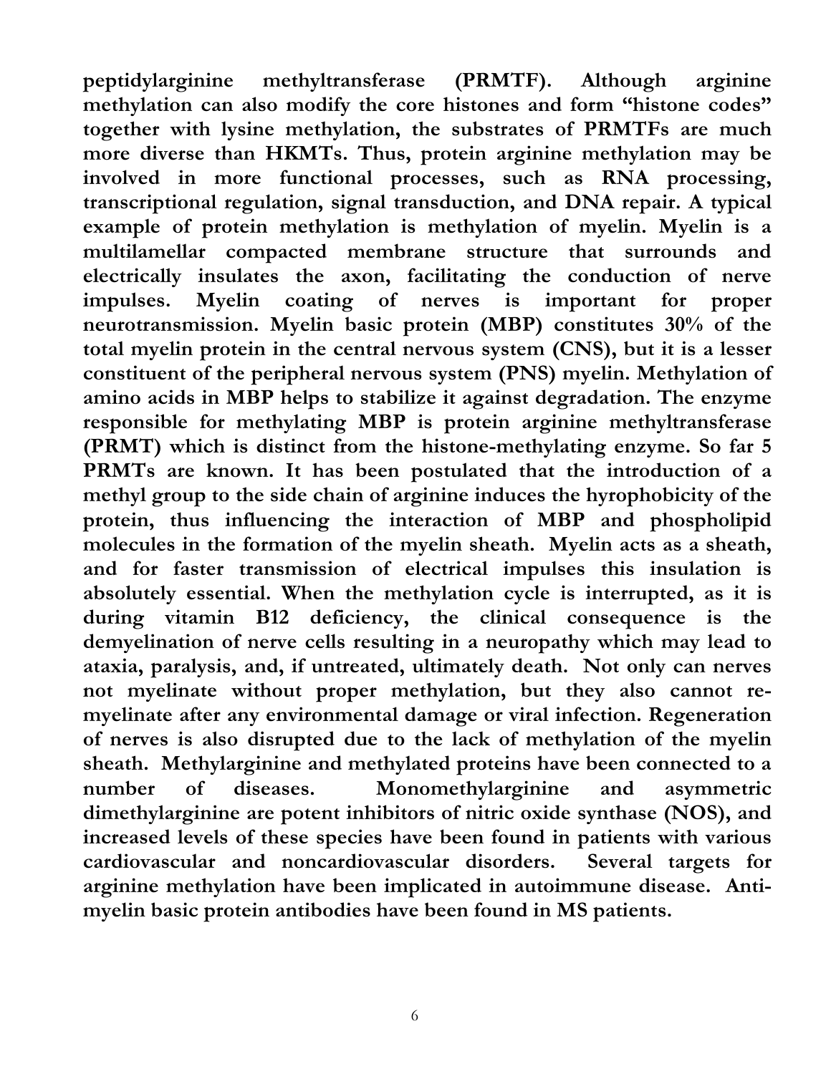**peptidylarginine methyltransferase (PRMTF). Although arginine methylation can also modify the core histones and form "histone codes" together with lysine methylation, the substrates of PRMTFs are much more diverse than HKMTs. Thus, protein arginine methylation may be involved in more functional processes, such as RNA processing, transcriptional regulation, signal transduction, and DNA repair. A typical example of protein methylation is methylation of myelin. Myelin is a multilamellar compacted membrane structure that surrounds and electrically insulates the axon, facilitating the conduction of nerve impulses. Myelin coating of nerves is important for proper neurotransmission. Myelin basic protein (MBP) constitutes 30% of the total myelin protein in the central nervous system (CNS), but it is a lesser constituent of the peripheral nervous system (PNS) myelin. Methylation of amino acids in MBP helps to stabilize it against degradation. The enzyme responsible for methylating MBP is protein arginine methyltransferase (PRMT) which is distinct from the histone-methylating enzyme. So far 5 PRMTs are known. It has been postulated that the introduction of a methyl group to the side chain of arginine induces the hyrophobicity of the protein, thus influencing the interaction of MBP and phospholipid molecules in the formation of the myelin sheath. Myelin acts as a sheath, and for faster transmission of electrical impulses this insulation is absolutely essential. When the methylation cycle is interrupted, as it is during vitamin B12 deficiency, the clinical consequence is the demyelination of nerve cells resulting in a neuropathy which may lead to ataxia, paralysis, and, if untreated, ultimately death. Not only can nerves not myelinate without proper methylation, but they also cannot remyelinate after any environmental damage or viral infection. Regeneration of nerves is also disrupted due to the lack of methylation of the myelin sheath. Methylarginine and methylated proteins have been connected to a number of diseases. Monomethylarginine and asymmetric dimethylarginine are potent inhibitors of nitric oxide synthase (NOS), and increased levels of these species have been found in patients with various cardiovascular and noncardiovascular disorders. Several targets for arginine methylation have been implicated in autoimmune disease. Antimyelin basic protein antibodies have been found in MS patients.**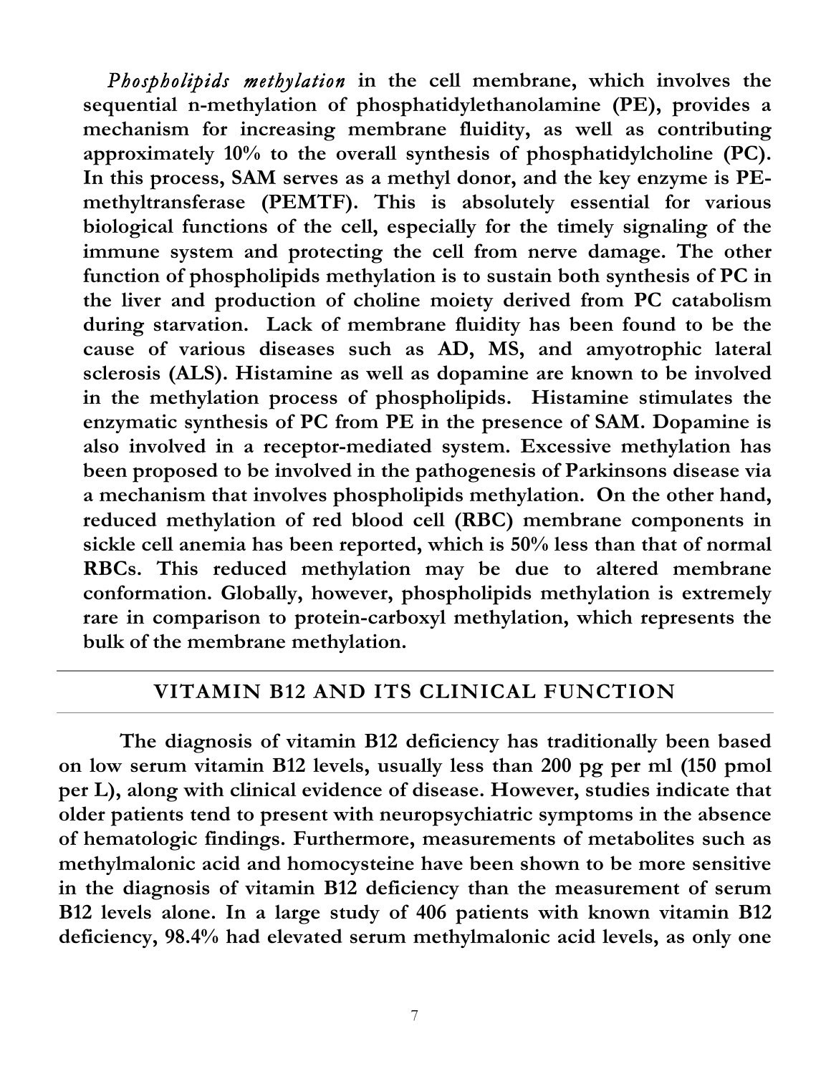*Phospholipids methylation* **in the cell membrane, which involves the sequential n-methylation of phosphatidylethanolamine (PE), provides a mechanism for increasing membrane fluidity, as well as contributing approximately 10% to the overall synthesis of phosphatidylcholine (PC). In this process, SAM serves as a methyl donor, and the key enzyme is PEmethyltransferase (PEMTF). This is absolutely essential for various biological functions of the cell, especially for the timely signaling of the immune system and protecting the cell from nerve damage. The other function of phospholipids methylation is to sustain both synthesis of PC in the liver and production of choline moiety derived from PC catabolism during starvation. Lack of membrane fluidity has been found to be the cause of various diseases such as AD, MS, and amyotrophic lateral sclerosis (ALS). Histamine as well as dopamine are known to be involved in the methylation process of phospholipids. Histamine stimulates the enzymatic synthesis of PC from PE in the presence of SAM. Dopamine is also involved in a receptor-mediated system. Excessive methylation has been proposed to be involved in the pathogenesis of Parkinsons disease via a mechanism that involves phospholipids methylation. On the other hand, reduced methylation of red blood cell (RBC) membrane components in sickle cell anemia has been reported, which is 50% less than that of normal RBCs. This reduced methylation may be due to altered membrane conformation. Globally, however, phospholipids methylation is extremely rare in comparison to protein-carboxyl methylation, which represents the bulk of the membrane methylation.**

#### **VITAMIN B12 AND ITS CLINICAL FUNCTION**

**The diagnosis of vitamin B12 deficiency has traditionally been based on low serum vitamin B12 levels, usually less than 200 pg per ml (150 pmol per L), along with clinical evidence of disease. However, studies indicate that older patients tend to present with neuropsychiatric symptoms in the absence of hematologic findings. Furthermore, measurements of metabolites such as methylmalonic acid and homocysteine have been shown to be more sensitive in the diagnosis of vitamin B12 deficiency than the measurement of serum B12 levels alone. In a large study of 406 patients with known vitamin B12 deficiency, 98.4% had elevated serum methylmalonic acid levels, as only one**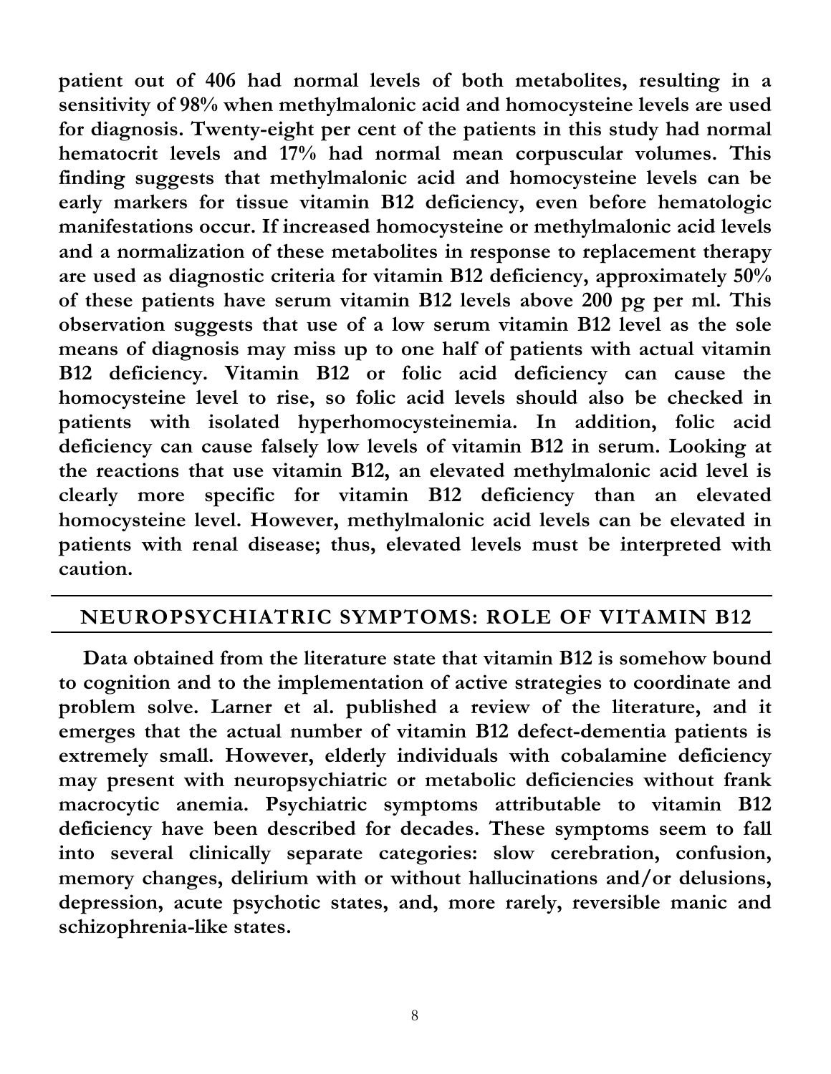**patient out of 406 had normal levels of both metabolites, resulting in a sensitivity of 98% when methylmalonic acid and homocysteine levels are used for diagnosis. Twenty-eight per cent of the patients in this study had normal hematocrit levels and 17% had normal mean corpuscular volumes. This finding suggests that methylmalonic acid and homocysteine levels can be early markers for tissue vitamin B12 deficiency, even before hematologic manifestations occur. If increased homocysteine or methylmalonic acid levels and a normalization of these metabolites in response to replacement therapy are used as diagnostic criteria for vitamin B12 deficiency, approximately 50% of these patients have serum vitamin B12 levels above 200 pg per ml. This observation suggests that use of a low serum vitamin B12 level as the sole means of diagnosis may miss up to one half of patients with actual vitamin B12 deficiency. Vitamin B12 or folic acid deficiency can cause the homocysteine level to rise, so folic acid levels should also be checked in patients with isolated hyperhomocysteinemia. In addition, folic acid deficiency can cause falsely low levels of vitamin B12 in serum. Looking at the reactions that use vitamin B12, an elevated methylmalonic acid level is clearly more specific for vitamin B12 deficiency than an elevated homocysteine level. However, methylmalonic acid levels can be elevated in patients with renal disease; thus, elevated levels must be interpreted with caution.**

## **NEUROPSYCHIATRIC SYMPTOMS: ROLE OF VITAMIN B12**

**Data obtained from the literature state that vitamin B12 is somehow bound to cognition and to the implementation of active strategies to coordinate and problem solve. Larner et al. published a review of the literature, and it emerges that the actual number of vitamin B12 defect-dementia patients is extremely small. However, elderly individuals with cobalamine deficiency may present with neuropsychiatric or metabolic deficiencies without frank macrocytic anemia. Psychiatric symptoms attributable to vitamin B12 deficiency have been described for decades. These symptoms seem to fall into several clinically separate categories: slow cerebration, confusion, memory changes, delirium with or without hallucinations and/or delusions, depression, acute psychotic states, and, more rarely, reversible manic and schizophrenia-like states.**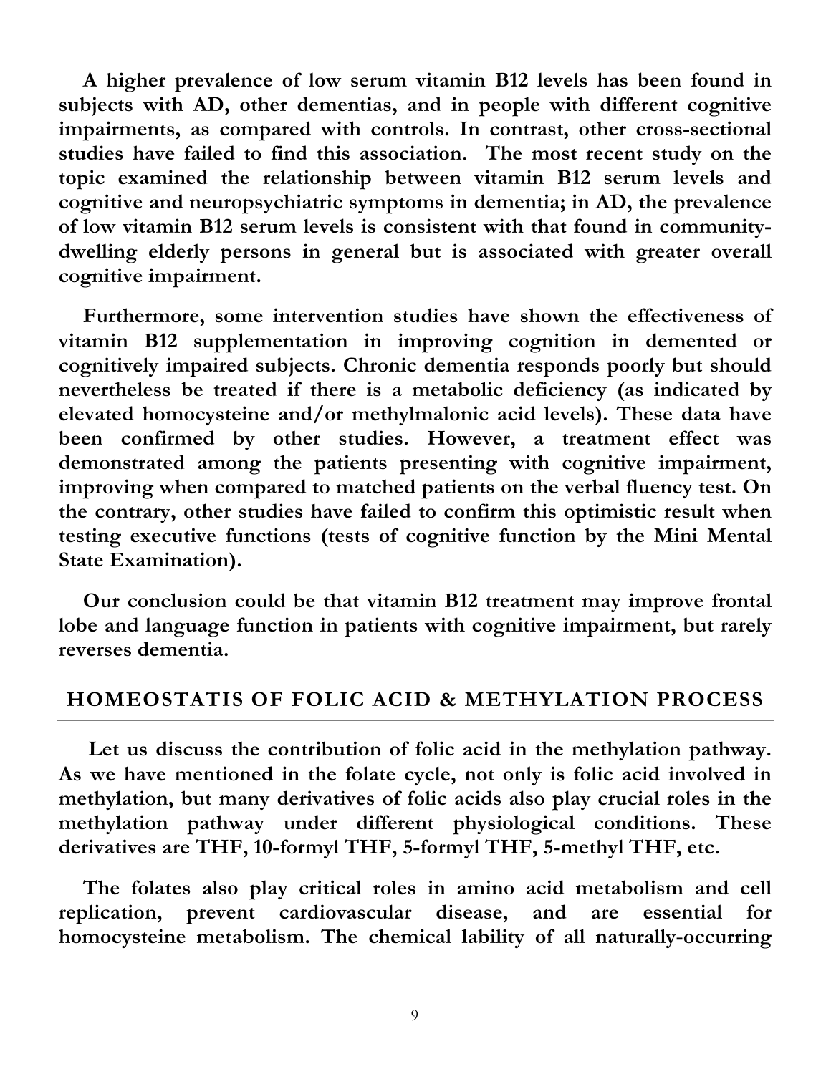**A higher prevalence of low serum vitamin B12 levels has been found in subjects with AD, other dementias, and in people with different cognitive impairments, as compared with controls. In contrast, other cross-sectional studies have failed to find this association. The most recent study on the topic examined the relationship between vitamin B12 serum levels and cognitive and neuropsychiatric symptoms in dementia; in AD, the prevalence of low vitamin B12 serum levels is consistent with that found in communitydwelling elderly persons in general but is associated with greater overall cognitive impairment.**

**Furthermore, some intervention studies have shown the effectiveness of vitamin B12 supplementation in improving cognition in demented or cognitively impaired subjects. Chronic dementia responds poorly but should nevertheless be treated if there is a metabolic deficiency (as indicated by elevated homocysteine and/or methylmalonic acid levels). These data have been confirmed by other studies. However, a treatment effect was demonstrated among the patients presenting with cognitive impairment, improving when compared to matched patients on the verbal fluency test. On the contrary, other studies have failed to confirm this optimistic result when testing executive functions (tests of cognitive function by the Mini Mental State Examination).**

**Our conclusion could be that vitamin B12 treatment may improve frontal lobe and language function in patients with cognitive impairment, but rarely reverses dementia.**

#### **HOMEOSTATIS OF FOLIC ACID & METHYLATION PROCESS**

**Let us discuss the contribution of folic acid in the methylation pathway. As we have mentioned in the folate cycle, not only is folic acid involved in methylation, but many derivatives of folic acids also play crucial roles in the methylation pathway under different physiological conditions. These derivatives are THF, 10-formyl THF, 5-formyl THF, 5-methyl THF, etc.**

**The folates also play critical roles in amino acid metabolism and cell replication, prevent cardiovascular disease, and are essential for homocysteine metabolism. The chemical lability of all naturally-occurring**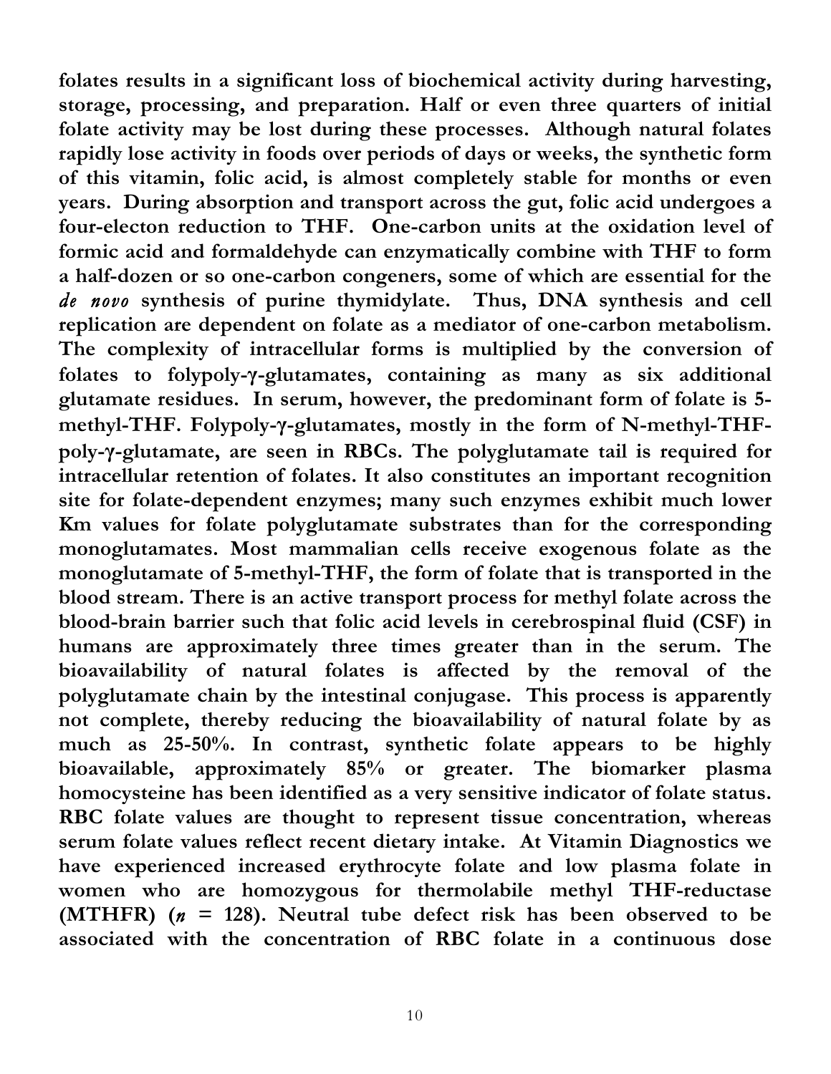**folates results in a significant loss of biochemical activity during harvesting, storage, processing, and preparation. Half or even three quarters of initial folate activity may be lost during these processes. Although natural folates rapidly lose activity in foods over periods of days or weeks, the synthetic form of this vitamin, folic acid, is almost completely stable for months or even years. During absorption and transport across the gut, folic acid undergoes a four-electon reduction to THF. One-carbon units at the oxidation level of formic acid and formaldehyde can enzymatically combine with THF to form a half-dozen or so one-carbon congeners, some of which are essential for the**  *de novo* **synthesis of purine thymidylate. Thus, DNA synthesis and cell replication are dependent on folate as a mediator of one-carbon metabolism. The complexity of intracellular forms is multiplied by the conversion of folates to folypoly-γ-glutamates, containing as many as six additional glutamate residues. In serum, however, the predominant form of folate is 5 methyl-THF. Folypoly-γ-glutamates, mostly in the form of N-methyl-THFpoly-γ-glutamate, are seen in RBCs. The polyglutamate tail is required for intracellular retention of folates. It also constitutes an important recognition site for folate-dependent enzymes; many such enzymes exhibit much lower Km values for folate polyglutamate substrates than for the corresponding monoglutamates. Most mammalian cells receive exogenous folate as the monoglutamate of 5-methyl-THF, the form of folate that is transported in the blood stream. There is an active transport process for methyl folate across the blood-brain barrier such that folic acid levels in cerebrospinal fluid (CSF) in humans are approximately three times greater than in the serum. The bioavailability of natural folates is affected by the removal of the polyglutamate chain by the intestinal conjugase. This process is apparently not complete, thereby reducing the bioavailability of natural folate by as much as 25-50%. In contrast, synthetic folate appears to be highly bioavailable, approximately 85% or greater. The biomarker plasma homocysteine has been identified as a very sensitive indicator of folate status. RBC folate values are thought to represent tissue concentration, whereas serum folate values reflect recent dietary intake. At Vitamin Diagnostics we have experienced increased erythrocyte folate and low plasma folate in women who are homozygous for thermolabile methyl THF-reductase (MTHFR)**  $(n = 128)$ . Neutral tube defect risk has been observed to be **associated with the concentration of RBC folate in a continuous dose**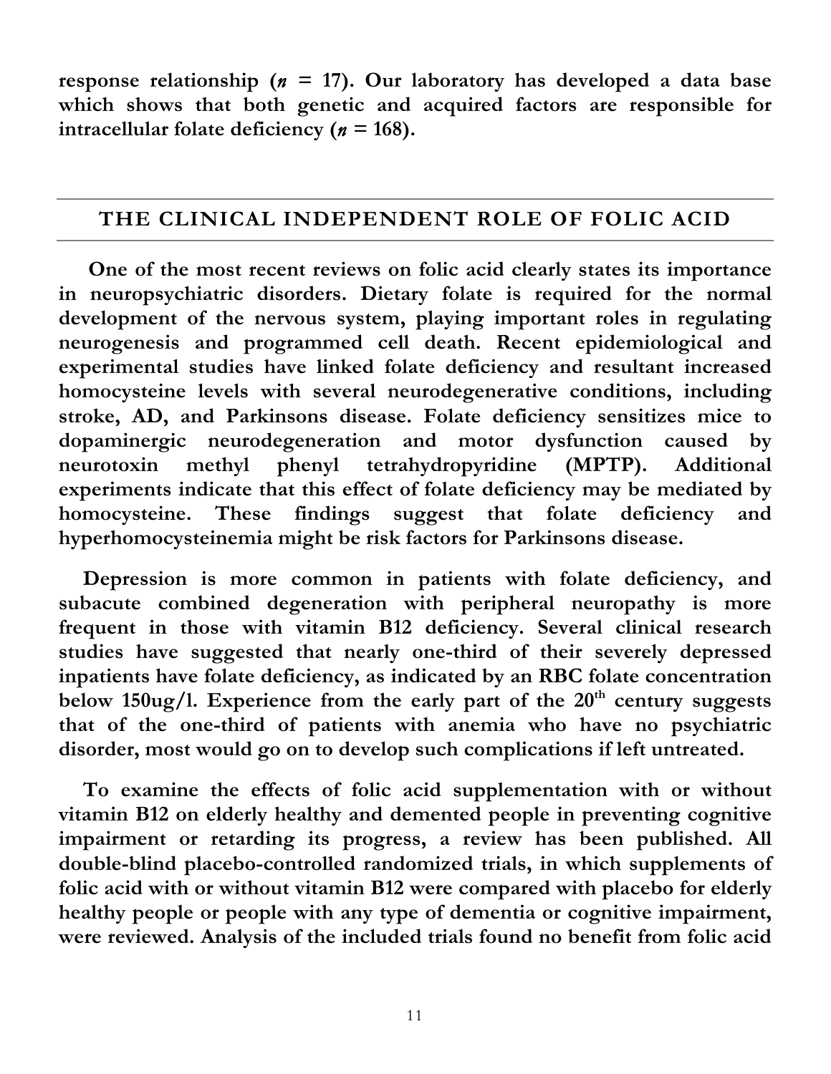**response relationship (** $n = 17$ **). Our laboratory has developed a data base which shows that both genetic and acquired factors are responsible for intracellular folate deficiency (** $n = 168$ **).** 

#### **THE CLINICAL INDEPENDENT ROLE OF FOLIC ACID**

**One of the most recent reviews on folic acid clearly states its importance in neuropsychiatric disorders. Dietary folate is required for the normal development of the nervous system, playing important roles in regulating neurogenesis and programmed cell death. Recent epidemiological and experimental studies have linked folate deficiency and resultant increased homocysteine levels with several neurodegenerative conditions, including stroke, AD, and Parkinsons disease. Folate deficiency sensitizes mice to dopaminergic neurodegeneration and motor dysfunction caused by neurotoxin methyl phenyl tetrahydropyridine (MPTP). Additional experiments indicate that this effect of folate deficiency may be mediated by homocysteine. These findings suggest that folate deficiency and hyperhomocysteinemia might be risk factors for Parkinsons disease.**

**Depression is more common in patients with folate deficiency, and subacute combined degeneration with peripheral neuropathy is more frequent in those with vitamin B12 deficiency. Several clinical research studies have suggested that nearly one-third of their severely depressed inpatients have folate deficiency, as indicated by an RBC folate concentration**  below 150ug/l. Experience from the early part of the 20<sup>th</sup> century suggests **that of the one-third of patients with anemia who have no psychiatric disorder, most would go on to develop such complications if left untreated.**

**To examine the effects of folic acid supplementation with or without vitamin B12 on elderly healthy and demented people in preventing cognitive impairment or retarding its progress, a review has been published. All double-blind placebo-controlled randomized trials, in which supplements of folic acid with or without vitamin B12 were compared with placebo for elderly healthy people or people with any type of dementia or cognitive impairment, were reviewed. Analysis of the included trials found no benefit from folic acid**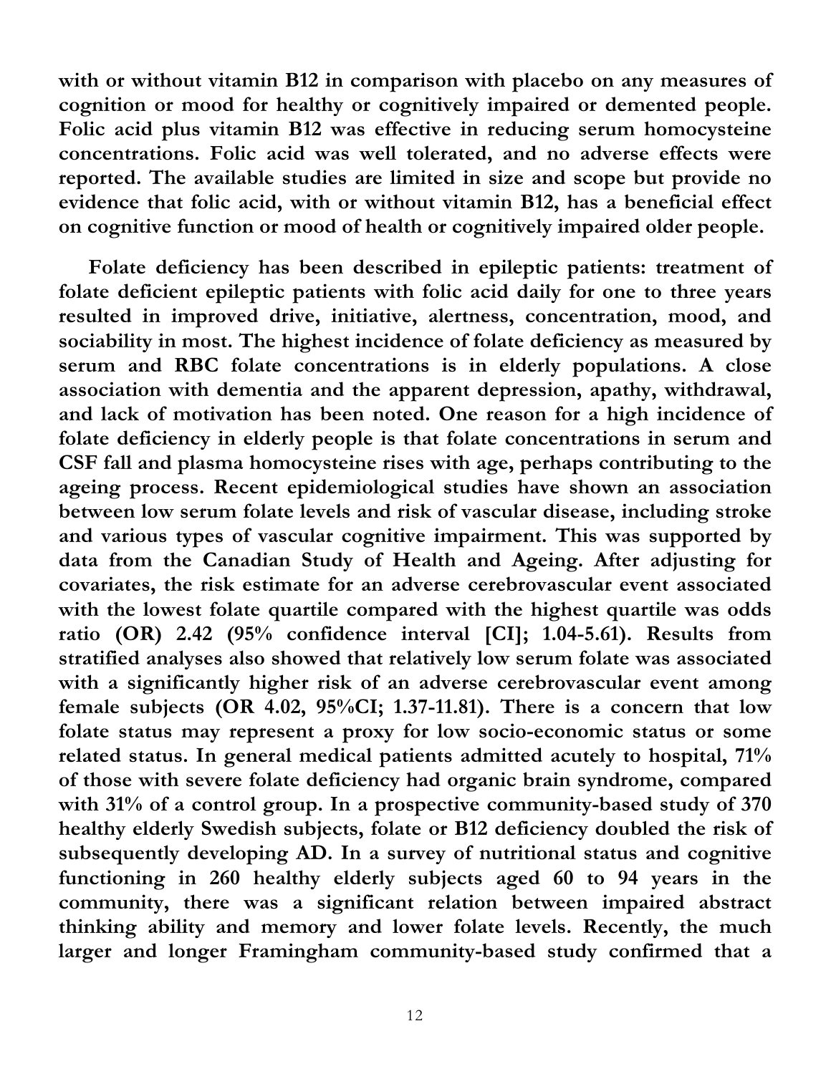**with or without vitamin B12 in comparison with placebo on any measures of cognition or mood for healthy or cognitively impaired or demented people. Folic acid plus vitamin B12 was effective in reducing serum homocysteine concentrations. Folic acid was well tolerated, and no adverse effects were reported. The available studies are limited in size and scope but provide no evidence that folic acid, with or without vitamin B12, has a beneficial effect on cognitive function or mood of health or cognitively impaired older people.**

 **Folate deficiency has been described in epileptic patients: treatment of folate deficient epileptic patients with folic acid daily for one to three years resulted in improved drive, initiative, alertness, concentration, mood, and sociability in most. The highest incidence of folate deficiency as measured by serum and RBC folate concentrations is in elderly populations. A close association with dementia and the apparent depression, apathy, withdrawal, and lack of motivation has been noted. One reason for a high incidence of folate deficiency in elderly people is that folate concentrations in serum and CSF fall and plasma homocysteine rises with age, perhaps contributing to the ageing process. Recent epidemiological studies have shown an association between low serum folate levels and risk of vascular disease, including stroke and various types of vascular cognitive impairment. This was supported by data from the Canadian Study of Health and Ageing. After adjusting for covariates, the risk estimate for an adverse cerebrovascular event associated with the lowest folate quartile compared with the highest quartile was odds ratio (OR) 2.42 (95% confidence interval [CI]; 1.04-5.61). Results from stratified analyses also showed that relatively low serum folate was associated with a significantly higher risk of an adverse cerebrovascular event among female subjects (OR 4.02, 95%CI; 1.37-11.81). There is a concern that low folate status may represent a proxy for low socio-economic status or some related status. In general medical patients admitted acutely to hospital, 71% of those with severe folate deficiency had organic brain syndrome, compared with 31% of a control group. In a prospective community-based study of 370 healthy elderly Swedish subjects, folate or B12 deficiency doubled the risk of subsequently developing AD. In a survey of nutritional status and cognitive functioning in 260 healthy elderly subjects aged 60 to 94 years in the community, there was a significant relation between impaired abstract thinking ability and memory and lower folate levels. Recently, the much larger and longer Framingham community-based study confirmed that a**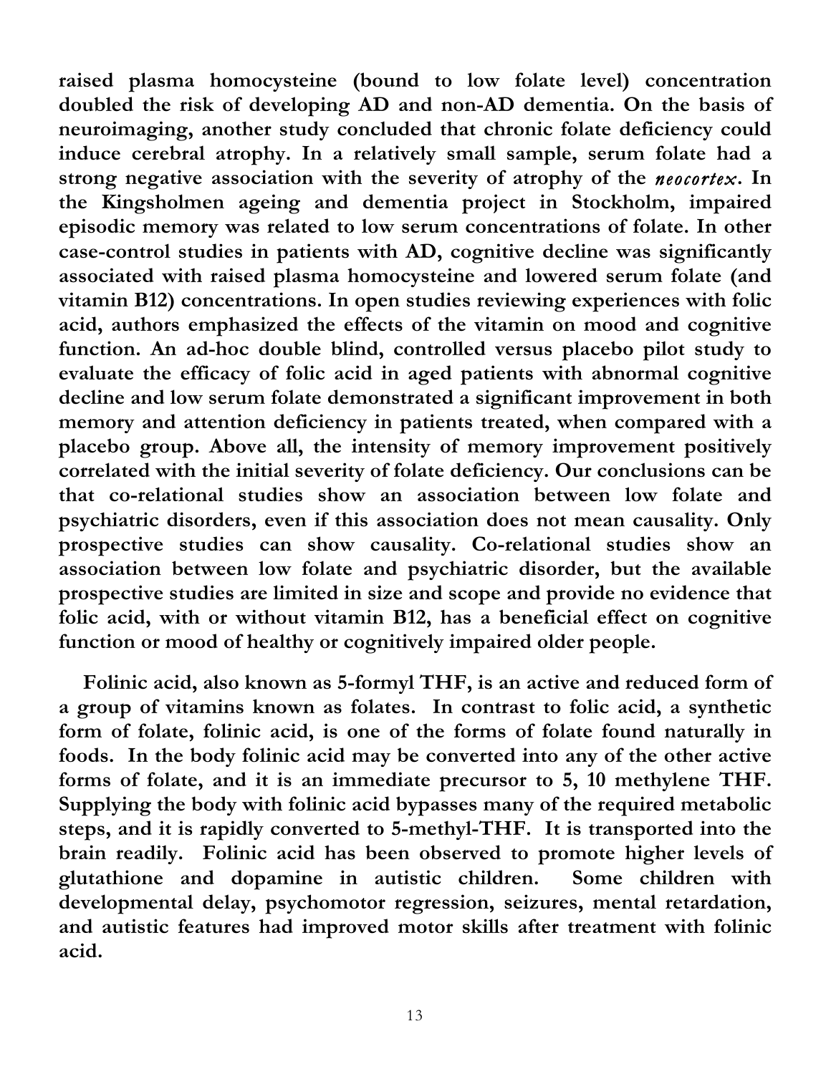**raised plasma homocysteine (bound to low folate level) concentration doubled the risk of developing AD and non-AD dementia. On the basis of neuroimaging, another study concluded that chronic folate deficiency could induce cerebral atrophy. In a relatively small sample, serum folate had a strong negative association with the severity of atrophy of the** *neocortex***. In the Kingsholmen ageing and dementia project in Stockholm, impaired episodic memory was related to low serum concentrations of folate. In other case-control studies in patients with AD, cognitive decline was significantly associated with raised plasma homocysteine and lowered serum folate (and vitamin B12) concentrations. In open studies reviewing experiences with folic acid, authors emphasized the effects of the vitamin on mood and cognitive function. An ad-hoc double blind, controlled versus placebo pilot study to evaluate the efficacy of folic acid in aged patients with abnormal cognitive decline and low serum folate demonstrated a significant improvement in both memory and attention deficiency in patients treated, when compared with a placebo group. Above all, the intensity of memory improvement positively correlated with the initial severity of folate deficiency. Our conclusions can be that co-relational studies show an association between low folate and psychiatric disorders, even if this association does not mean causality. Only prospective studies can show causality. Co-relational studies show an association between low folate and psychiatric disorder, but the available prospective studies are limited in size and scope and provide no evidence that folic acid, with or without vitamin B12, has a beneficial effect on cognitive function or mood of healthy or cognitively impaired older people.**

**Folinic acid, also known as 5-formyl THF, is an active and reduced form of a group of vitamins known as folates. In contrast to folic acid, a synthetic form of folate, folinic acid, is one of the forms of folate found naturally in foods. In the body folinic acid may be converted into any of the other active forms of folate, and it is an immediate precursor to 5, 10 methylene THF. Supplying the body with folinic acid bypasses many of the required metabolic steps, and it is rapidly converted to 5-methyl-THF. It is transported into the brain readily. Folinic acid has been observed to promote higher levels of glutathione and dopamine in autistic children. Some children with developmental delay, psychomotor regression, seizures, mental retardation, and autistic features had improved motor skills after treatment with folinic acid.**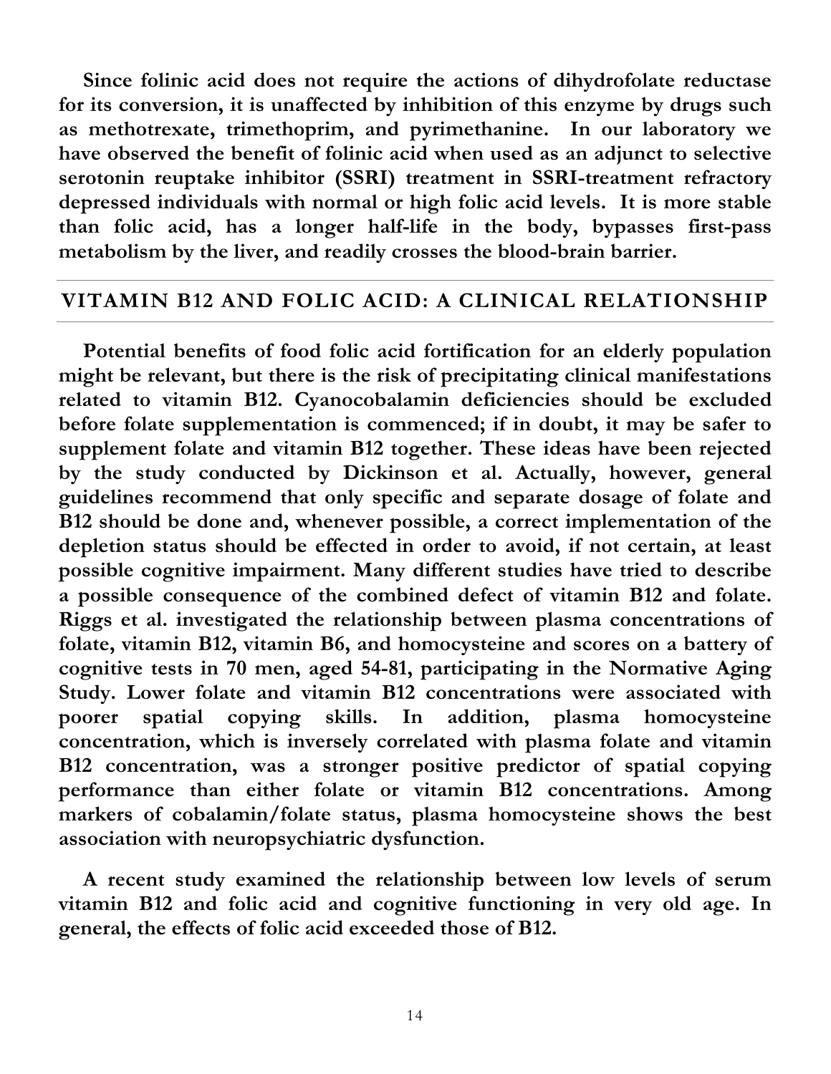**Since folinic acid does not require the actions of dihydrofolate reductase for its conversion, it is unaffected by inhibition of this enzyme by drugs such as methotrexate, trimethoprim, and pyrimethanine. In our laboratory we have observed the benefit of folinic acid when used as an adjunct to selective serotonin reuptake inhibitor (SSRI) treatment in SSRI-treatment refractory depressed individuals with normal or high folic acid levels. It is more stable than folic acid, has a longer half-life in the body, bypasses first-pass metabolism by the liver, and readily crosses the blood-brain barrier.**

#### **VITAMIN B12 AND FOLIC ACID: A CLINICAL RELATIONSHIP**

**Potential benefits of food folic acid fortification for an elderly population might be relevant, but there is the risk of precipitating clinical manifestations related to vitamin B12. Cyanocobalamin deficiencies should be excluded before folate supplementation is commenced; if in doubt, it may be safer to supplement folate and vitamin B12 together. These ideas have been rejected by the study conducted by Dickinson et al. Actually, however, general guidelines recommend that only specific and separate dosage of folate and B12 should be done and, whenever possible, a correct implementation of the depletion status should be effected in order to avoid, if not certain, at least possible cognitive impairment. Many different studies have tried to describe a possible consequence of the combined defect of vitamin B12 and folate. Riggs et al. investigated the relationship between plasma concentrations of folate, vitamin B12, vitamin B6, and homocysteine and scores on a battery of cognitive tests in 70 men, aged 54-81, participating in the Normative Aging Study. Lower folate and vitamin B12 concentrations were associated with poorer spatial copying skills. In addition, plasma homocysteine concentration, which is inversely correlated with plasma folate and vitamin B12 concentration, was a stronger positive predictor of spatial copying performance than either folate or vitamin B12 concentrations. Among markers of cobalamin/folate status, plasma homocysteine shows the best association with neuropsychiatric dysfunction.** 

**A recent study examined the relationship between low levels of serum vitamin B12 and folic acid and cognitive functioning in very old age. In general, the effects of folic acid exceeded those of B12.**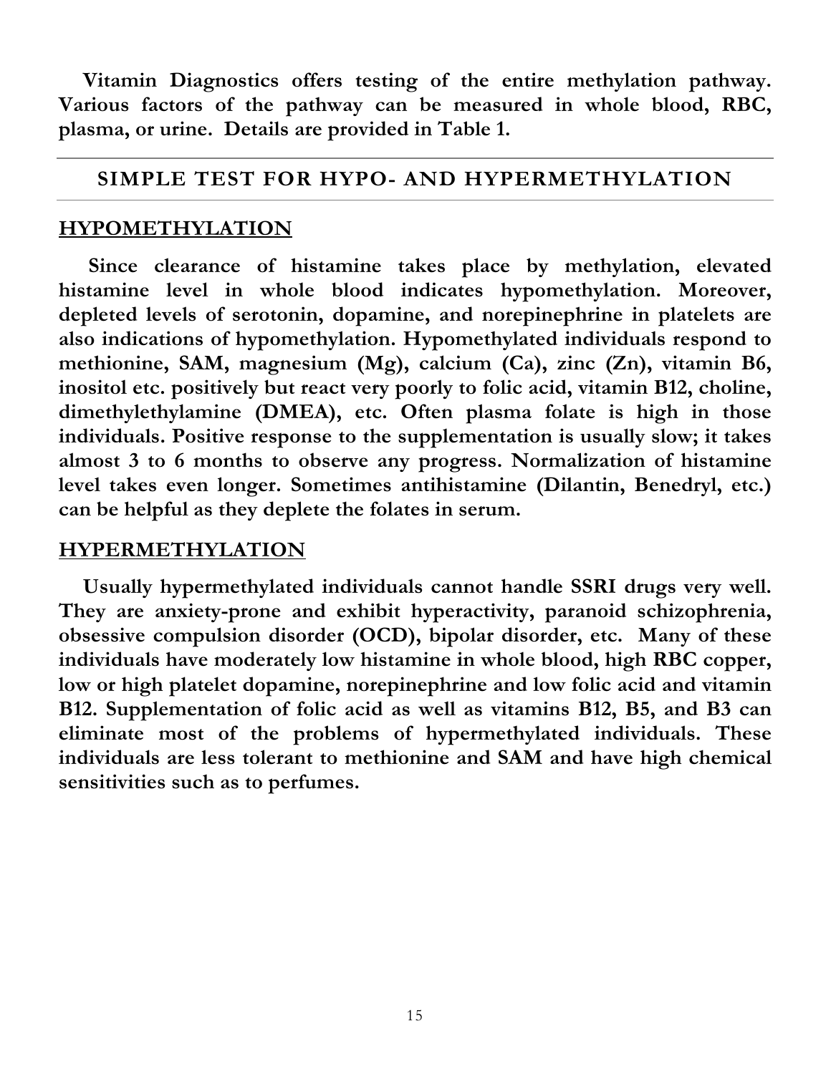**Vitamin Diagnostics offers testing of the entire methylation pathway. Various factors of the pathway can be measured in whole blood, RBC, plasma, or urine. Details are provided in Table 1.**

### **SIMPLE TEST FOR HYPO- AND HYPERMETHYLATION**

#### **HYPOMETHYLATION**

 **Since clearance of histamine takes place by methylation, elevated histamine level in whole blood indicates hypomethylation. Moreover, depleted levels of serotonin, dopamine, and norepinephrine in platelets are also indications of hypomethylation. Hypomethylated individuals respond to methionine, SAM, magnesium (Mg), calcium (Ca), zinc (Zn), vitamin B6, inositol etc. positively but react very poorly to folic acid, vitamin B12, choline, dimethylethylamine (DMEA), etc. Often plasma folate is high in those individuals. Positive response to the supplementation is usually slow; it takes almost 3 to 6 months to observe any progress. Normalization of histamine level takes even longer. Sometimes antihistamine (Dilantin, Benedryl, etc.) can be helpful as they deplete the folates in serum.**

## **HYPERMETHYLATION**

**Usually hypermethylated individuals cannot handle SSRI drugs very well. They are anxiety-prone and exhibit hyperactivity, paranoid schizophrenia, obsessive compulsion disorder (OCD), bipolar disorder, etc. Many of these individuals have moderately low histamine in whole blood, high RBC copper, low or high platelet dopamine, norepinephrine and low folic acid and vitamin B12. Supplementation of folic acid as well as vitamins B12, B5, and B3 can eliminate most of the problems of hypermethylated individuals. These individuals are less tolerant to methionine and SAM and have high chemical sensitivities such as to perfumes.**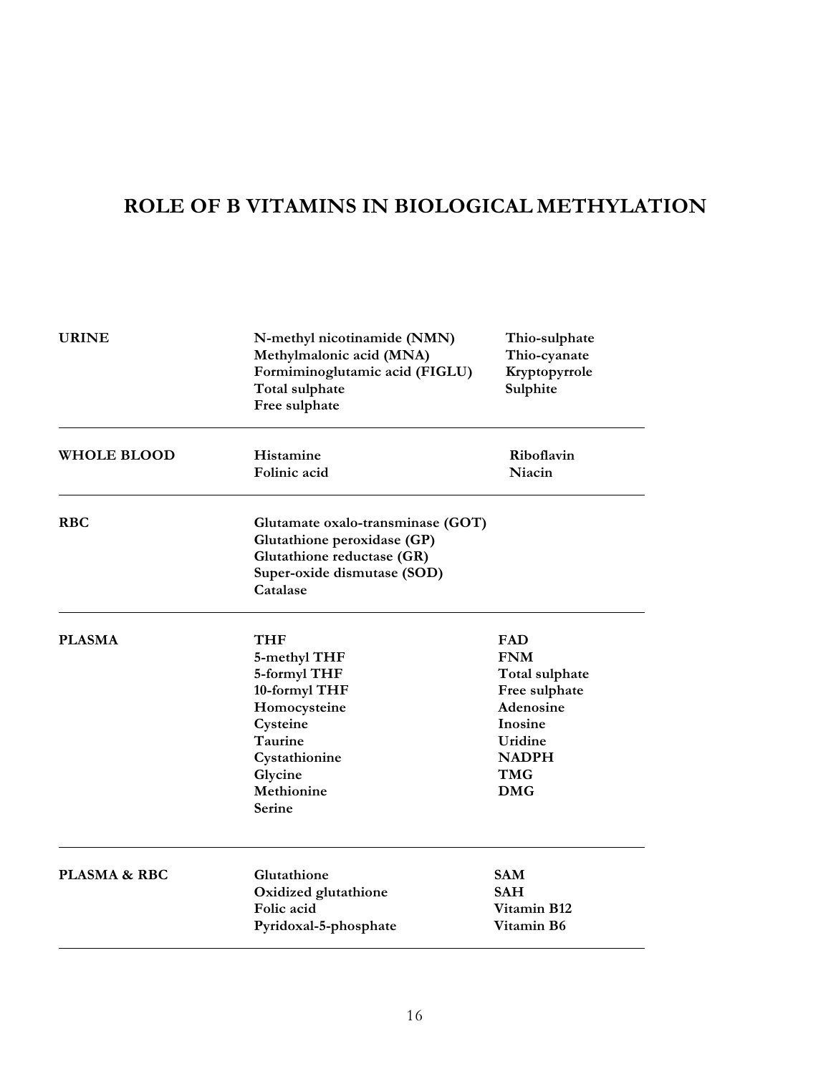## **ROLE OF B VITAMINS IN BIOLOGICAL METHYLATION**

| <b>URINE</b>            | N-methyl nicotinamide (NMN)<br>Methylmalonic acid (MNA)<br>Formiminoglutamic acid (FIGLU)<br>Total sulphate<br>Free sulphate                           | Thio-sulphate<br>Thio-cyanate<br>Kryptopyrrole<br>Sulphite                                                                          |
|-------------------------|--------------------------------------------------------------------------------------------------------------------------------------------------------|-------------------------------------------------------------------------------------------------------------------------------------|
| <b>WHOLE BLOOD</b>      | Histamine<br>Folinic acid                                                                                                                              | Riboflavin<br>Niacin                                                                                                                |
| <b>RBC</b>              | Glutamate oxalo-transminase (GOT)<br>Glutathione peroxidase (GP)<br>Glutathione reductase (GR)<br>Super-oxide dismutase (SOD)<br>Catalase              |                                                                                                                                     |
| <b>PLASMA</b>           | <b>THF</b><br>5-methyl THF<br>5-formyl THF<br>10-formyl THF<br>Homocysteine<br>Cysteine<br>Taurine<br>Cystathionine<br>Glycine<br>Methionine<br>Serine | FAD<br><b>FNM</b><br>Total sulphate<br>Free sulphate<br>Adenosine<br>Inosine<br>Uridine<br><b>NADPH</b><br><b>TMG</b><br><b>DMG</b> |
| <b>PLASMA &amp; RBC</b> | Glutathione<br>Oxidized glutathione<br>Folic acid<br>Pyridoxal-5-phosphate                                                                             | <b>SAM</b><br><b>SAH</b><br>Vitamin B12<br>Vitamin B6                                                                               |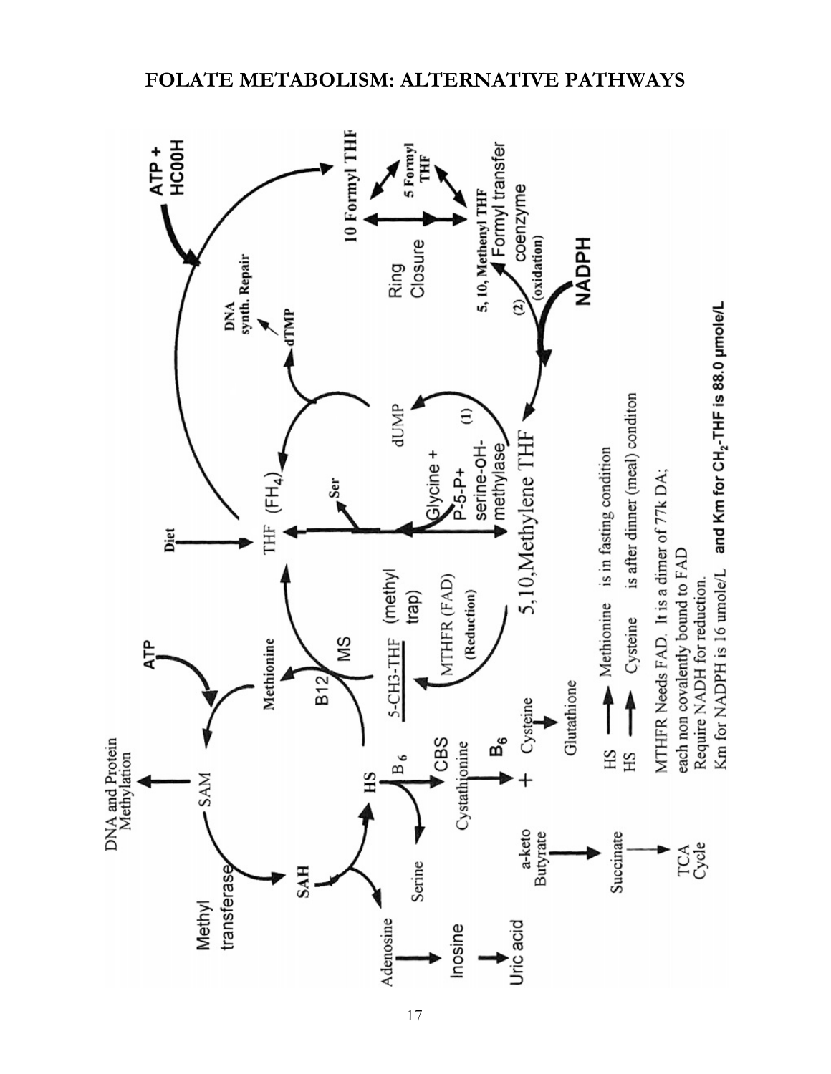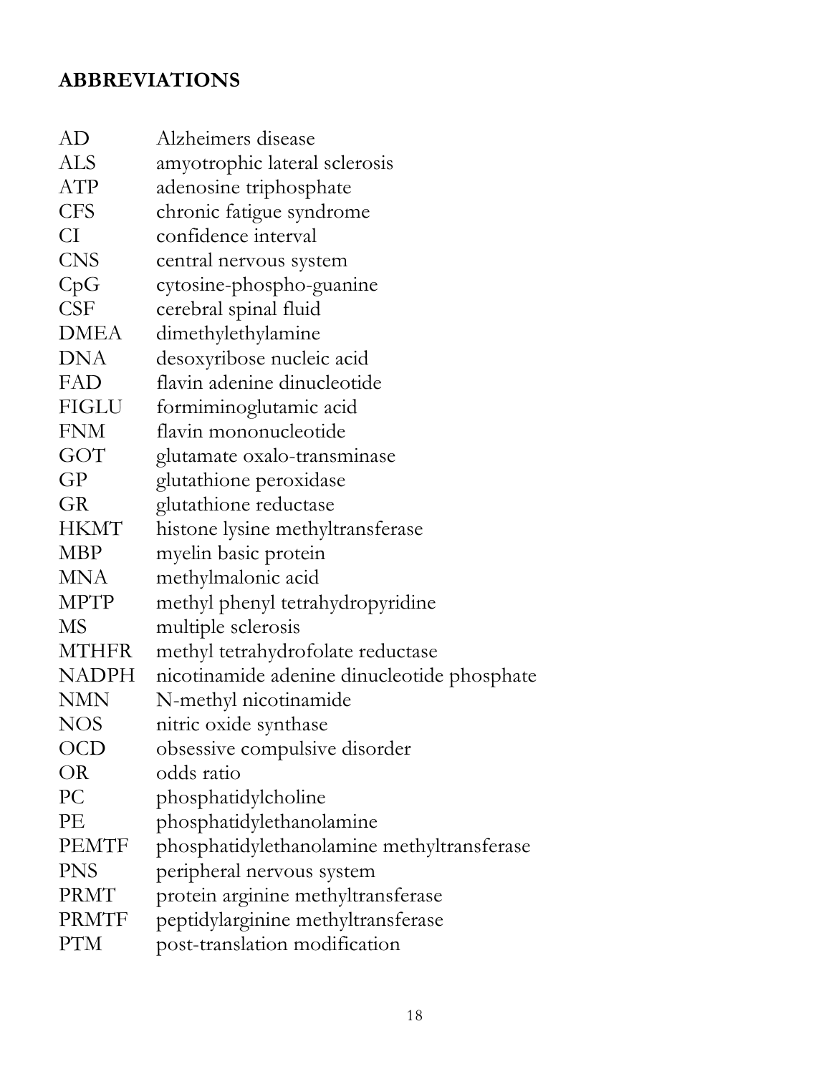## **ABBREVIATIONS**

| Alzheimers disease                          |
|---------------------------------------------|
| amyotrophic lateral sclerosis               |
| adenosine triphosphate                      |
| chronic fatigue syndrome                    |
| confidence interval                         |
| central nervous system                      |
| cytosine-phospho-guanine                    |
| cerebral spinal fluid                       |
| dimethylethylamine                          |
| desoxyribose nucleic acid                   |
| flavin adenine dinucleotide                 |
| formiminoglutamic acid                      |
| flavin mononucleotide                       |
| glutamate oxalo-transminase                 |
| glutathione peroxidase                      |
| glutathione reductase                       |
| histone lysine methyltransferase            |
| myelin basic protein                        |
| methylmalonic acid                          |
| methyl phenyl tetrahydropyridine            |
| multiple sclerosis                          |
| methyl tetrahydrofolate reductase           |
| nicotinamide adenine dinucleotide phosphate |
| N-methyl nicotinamide                       |
| nitric oxide synthase                       |
| obsessive compulsive disorder               |
| odds ratio                                  |
| phosphatidylcholine                         |
| phosphatidylethanolamine                    |
| phosphatidylethanolamine methyltransferase  |
| peripheral nervous system                   |
| protein arginine methyltransferase          |
| peptidylarginine methyltransferase          |
| post-translation modification               |
|                                             |